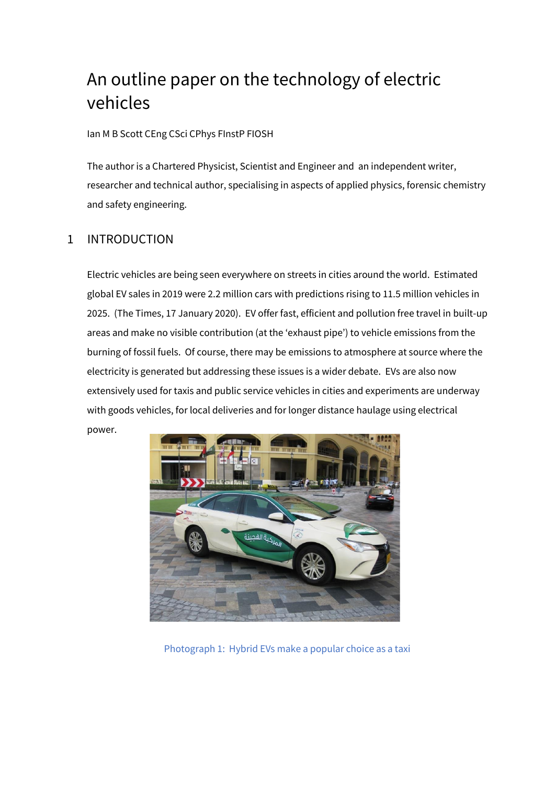# An outline paper on the technology of electric vehicles

Ian M B Scott CEng CSci CPhys FInstP FIOSH

The author is a Chartered Physicist, Scientist and Engineer and an independent writer, researcher and technical author, specialising in aspects of applied physics, forensic chemistry and safety engineering.

# 1 INTRODUCTION

Electric vehicles are being seen everywhere on streets in cities around the world. Estimated global EV sales in 2019 were 2.2 million cars with predictions rising to 11.5 million vehicles in 2025. (The Times, 17 January 2020). EV offer fast, efficient and pollution free travel in built-up areas and make no visible contribution (at the 'exhaust pipe') to vehicle emissions from the burning of fossil fuels. Of course, there may be emissions to atmosphere at source where the electricity is generated but addressing these issues is a wider debate. EVs are also now extensively used for taxis and public service vehicles in cities and experiments are underway with goods vehicles, for local deliveries and for longer distance haulage using electrical power.



Photograph 1: Hybrid EVs make a popular choice as a taxi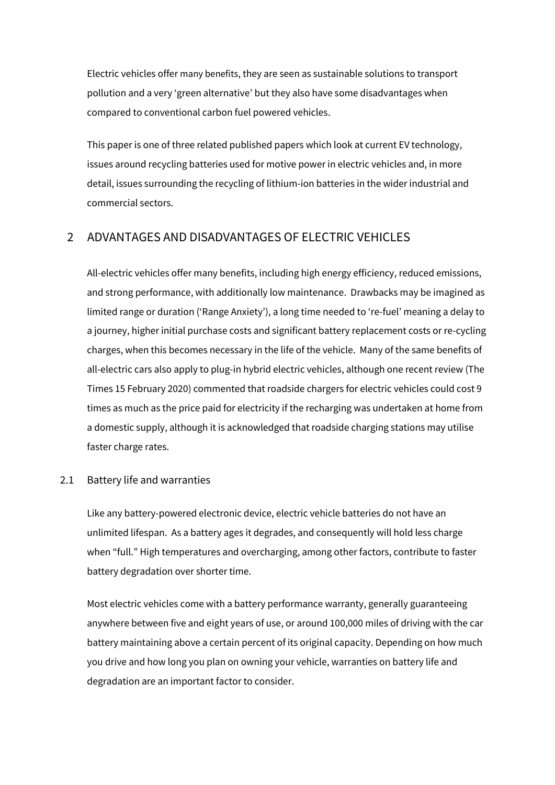Electric vehicles offer [many benefits](https://www.energysage.com/electric-vehicles/advantages-of-evs/), they are seen as sustainable solutions to transport pollution and a very 'green alternative' but they also have some disadvantages when compared to conventional carbon fuel powered vehicles.

This paper is one of three related published papers which look at current EV technology, issues around recycling batteries used for motive power in electric vehicles and, in more detail, issues surrounding the recycling of lithium-ion batteries in the wider industrial and commercial sectors.

## 2 ADVANTAGES AND DISADVANTAGES OF ELECTRIC VEHICLES

All-electric vehicles offer many benefits, including high energy efficiency, reduced emissions, and strong performance, with additionally low maintenance. Drawbacks may be imagined as limited range or duration ('Range Anxiety'), a long time needed to 're-fuel' meaning a delay to a journey, higher initial purchase costs and significant battery replacement costs or re-cycling charges, when this becomes necessary in the life of the vehicle. Many of the same benefits of all-electric cars also apply to plug-in hybrid electric vehicles, although one recent review (The Times 15 February 2020) commented that roadside chargers for electric vehicles could cost 9 times as much as the price paid for electricity if the recharging was undertaken at home from a domestic supply, although it is acknowledged that roadside charging stations may utilise faster charge rates.

#### 2.1 Battery life and warranties

Like any battery-powered electronic device, electric vehicle batteries do not have an unlimited lifespan. As a battery ages it degrades, and consequently will hold less charge when "full." High temperatures and overcharging, among other factors, contribute to faster battery degradation over shorter time.

Most electric vehicles come with a battery performance warranty, generally guaranteeing anywhere between five and eight years of use, or around 100,000 miles of driving with the car battery maintaining above a certain percent of its original capacity. Depending on how much you drive and how long you plan on owning your vehicle, warranties on battery life and degradation are an important factor to consider.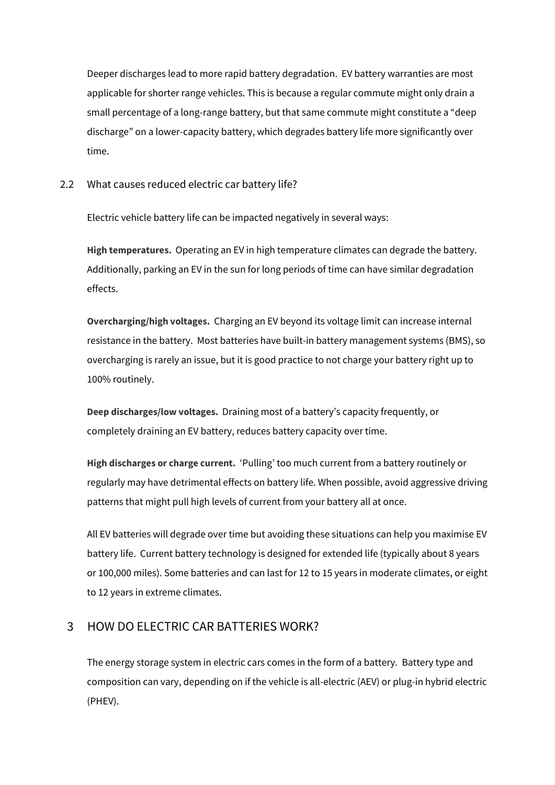Deeper discharges lead to more rapid battery degradation. EV battery warranties are most applicable for shorter range vehicles. This is because a regular commute might only drain a small percentage of a long-range battery, but that same commute might constitute a "deep discharge" on a lower-capacity battery, which degrades battery life more significantly over time.

2.2 What causes reduced electric car battery life?

Electric vehicle battery life can be impacted negatively in several ways:

**High temperatures.** Operating an EV in high temperature climates can degrade the battery. Additionally, parking an EV in the sun for long periods of time can have similar degradation effects.

**Overcharging/high voltages.** Charging an EV beyond its voltage limit can increase internal resistance in the battery. Most batteries have built-in battery management systems (BMS), so overcharging is rarely an issue, but it is good practice to not charge your battery right up to 100% routinely.

**Deep discharges/low voltages.** Draining most of a battery's capacity frequently, or completely draining an EV battery, reduces battery capacity over time.

**High discharges or charge current.** 'Pulling' too much current from a battery routinely or regularly may have detrimental effects on battery life. When possible, avoid aggressive driving patterns that might pull high levels of current from your battery all at once.

All EV batteries will degrade over time but avoiding these situations can help you maximise EV battery life. Current battery technology is designed for extended life (typically about 8 years or 100,000 miles). Some batteries and can last for 12 to 15 years in moderate climates, or eight to 12 years in extreme climates.

# 3 HOW DO ELECTRIC CAR BATTERIES WORK?

The energy storage system in electric cars comes in the form of a battery. Battery type and composition can vary, depending on if the vehicle is all-electric (AEV) or plug-in hybrid electric (PHEV).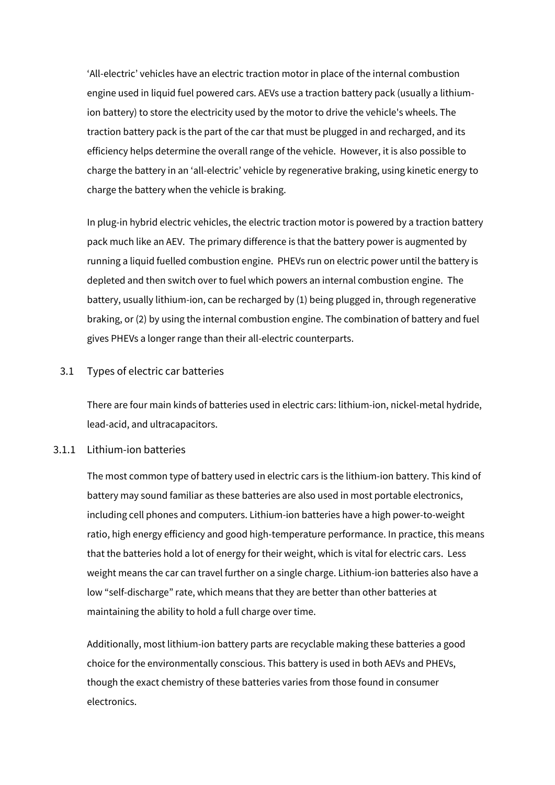'All-electric' vehicles have an electric traction motor in place of the internal combustion engine used in liquid fuel powered cars. AEVs use a traction battery pack (usually a lithiumion battery) to store the electricity used by the motor to drive the vehicle's wheels. The traction battery pack is the part of the car that must be plugged in and recharged, and its efficiency helps determine the overall range of the vehicle. However, it is also possible to charge the battery in an 'all-electric' vehicle by regenerative braking, using kinetic energy to charge the battery when the vehicle is braking.

In plug-in hybrid electric vehicles, the electric traction motor is powered by a traction battery pack much like an AEV. The primary difference is that the battery power is augmented by running a liquid fuelled combustion engine. PHEVs run on electric power until the battery is depleted and then switch over to fuel which powers an internal combustion engine. The battery, usually lithium-ion, can be recharged by (1) being plugged in, through regenerative braking, or (2) by using the internal combustion engine. The combination of battery and fuel gives PHEVs a longer range than their all-electric counterparts.

#### 3.1 Types of electric car batteries

There are four main kinds of batteries used in electric cars: lithium-ion, nickel-metal hydride, lead-acid, and ultracapacitors.

#### 3.1.1 Lithium-ion batteries

The most common type of battery used in electric cars is the lithium-ion battery. This kind of battery may sound familiar as these batteries are also used in most portable electronics, including cell phones and computers. Lithium-ion batteries have a high power-to-weight ratio, high energy efficiency and good high-temperature performance. In practice, this means that the batteries hold a lot of energy for their weight, which is vital for electric cars. Less weight means the car can travel further on a single charge. Lithium-ion batteries also have a low "self-discharge" rate, which means that they are better than other batteries at maintaining the ability to hold a full charge over time.

Additionally, most lithium-ion battery parts are recyclable making these batteries a good choice for the environmentally conscious. This battery is used in both AEVs and PHEVs, though the exact chemistry of these batteries varies from those found in consumer electronics.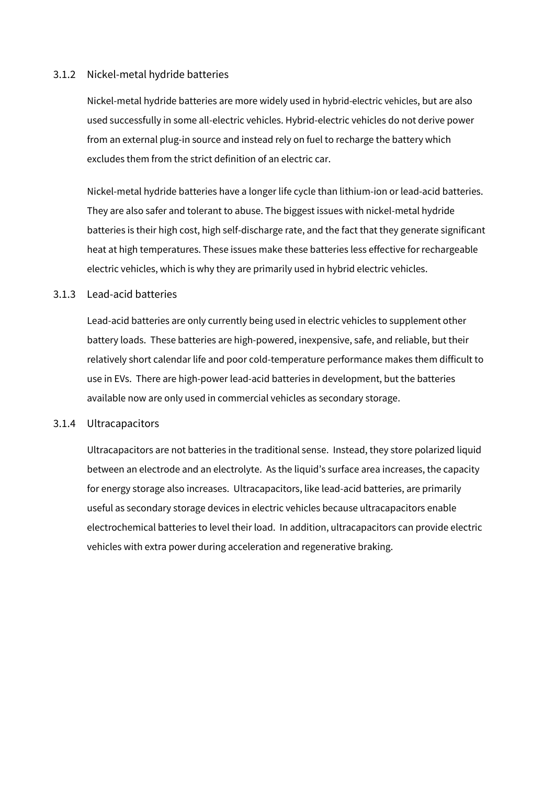#### 3.1.2 Nickel-metal hydride batteries

Nickel-metal hydride batteries are more widely used in [hybrid-electric vehicles](https://www.energysage.com/electric-vehicles/costs-and-benefits-evs/evs-vs-hybrids/), but are also used successfully in some all-electric vehicles. Hybrid-electric vehicles do not derive power from an external plug-in source and instead rely on fuel to recharge the battery which excludes them from the strict definition of an electric car.

Nickel-metal hydride batteries have a longer life cycle than lithium-ion or lead-acid batteries. They are also safer and tolerant to abuse. The biggest issues with nickel-metal hydride batteries is their high cost, high self-discharge rate, and the fact that they generate significant heat at high temperatures. These issues make these batteries less effective for rechargeable electric vehicles, which is why they are primarily used in hybrid electric vehicles.

#### 3.1.3 Lead-acid batteries

Lead-acid batteries are only currently being used in electric vehicles to supplement other battery loads. These batteries are high-powered, inexpensive, safe, and reliable, but their relatively short calendar life and poor cold-temperature performance makes them difficult to use in EVs. There are high-power lead-acid batteries in development, but the batteries available now are only used in commercial vehicles as secondary storage.

#### 3.1.4 Ultracapacitors

Ultracapacitors are not batteries in the traditional sense. Instead, they store polarized liquid between an electrode and an electrolyte. As the liquid's surface area increases, the capacity for energy storage also increases. Ultracapacitors, like lead-acid batteries, are primarily useful as secondary storage devices in electric vehicles because ultracapacitors enable electrochemical batteries to level their load. In addition, ultracapacitors can provide electric vehicles with extra power during acceleration and regenerative braking.